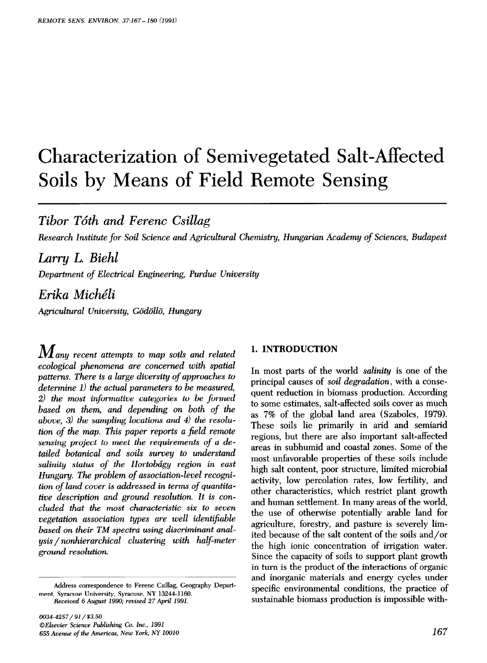# Characterization of Semivegetated Salt-Affected Soils by Means of Field Remote Sensing

*Tibor T&h and Ferenc Csillag* 

*Research institute for Soil Science and* Agricultural *Chemistry, Hungarian Academy of Sciences, Budapest* 

# *Larry L. Biehl*

*Department of Electrical Engineering, Purdue University* 

*Erika Miche'li* 

Agricultural University, Gödöllö, Hungary

*M any recent attempts to map soils and related ecological phenomena are concerned with spatial patterns. There is a large diversity of approaches to determine 1) the actual parameters to be measured, 2) the most informative categories to be formed based on them, and depending on both of the above, 3) the sampling locations and 4) the resolution of the map. This paper reports a field remote sensing project to meet the requirements of a detailed botanical and soils survey to understand*  salinity status of the Hortobágy region in east *Hungary. The problem of association-level recognition of land cover is addressed in terms of quantitative description and ground resolution. It is concluded that the most characteristic six to seven*   $v$ egetation association types are well identifiable *based on their TM spectra using discriminant anal* $ysis / nonhierarchical$  *clustering with half-meter ground resolution.* 

## **1. INTRODUCTION**

In most parts of the world *salinity* is one of the principal causes of *soil degradation,* with a consequent reduction in biomass production. According to some estimates, salt-affected soils cover as much as 7% of the global land area (Szabolcs, 1979). These soils lie primarily in arid and semiarid regions, but there are also important salt-affected areas in subhumid and coastal zones. Some of the most unfavorable properties of these soils include high salt content, poor structure, limited microbial activity, low percolation rates, low fertility, and other characteristics, which restrict plant growth and human settlement. In many areas of the world, the use of otherwise potentially arable land for agriculture, forestry, and pasture is severely limited because of the salt content of the soils and/or the high ionic concentration of irrigation water. Since the capacity of soils to support plant growth in turn is the product of the interactions of organic and inorganic materials and energy cycles under specific environmental conditions, the practice of sustainable biomass production is impossible with-

**Address correspondence to Ferenc Csillag, Geography Department, Syracuse University, Syracuse, NY 13244-1160.**  *Received 6 August 1990; revised 27* **April** *1991.*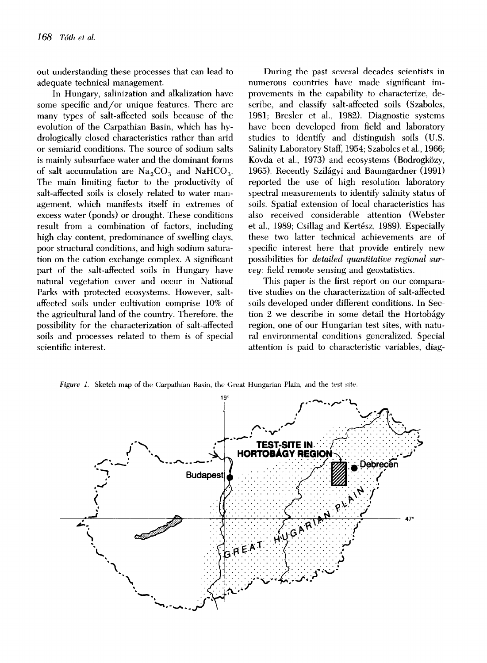out understanding these processes that can lead to adequate technical management.

In Hungary, salinization and alkalization have some specific and/or unique features. There are many types of salt-affected soils because of the evolution of the Carpathian Basin, which has hydrologically closed characteristics rather than arid or semiarid conditions. The source of sodium salts is mainly subsurface water and the dominant forms of salt accumulation are  $\text{Na}_2\text{CO}_3$  and  $\text{NaHCO}_3$ . The main limiting factor to the productivity of salt-affected soils is closely related to water management, which manifests itself in extremes of excess water (ponds) or drought. These conditions result from a combination of factors, including high clay content, predominance of swelling clays, poor structural conditions, and high sodium saturation on the cation exchange complex. A significant part of the salt-affected soils in Hungary have natural vegetation cover and occur in National Parks with protected ecosystems. However, saltaffected soils under cultivation comprise 10% of the agricultural land of the country. Therefore, the possibility for the characterization of salt-affected soils and processes related to them is of special scientific interest.

During the past several decades scientists in numerous countries have made significant improvements in the capability to characterize, describe, and classify salt-affected soils (Szabolcs, 1981; Bresler et al., 1982). Diagnostic systems have been developed from field and laboratory studies to identify and distinguish soils (U.S. Salinity Laboratory Staff, 1954; Szabolcs et al., 1966; Kovda et al., 1973) and ecosystems (Bodrogközy, 1965). Recently Szilágyi and Baumgardner (1991) reported the use of high resolution laboratory spectral measurements to identify salinity status of soils. Spatial extension of local characteristics has also received considerable attention (Webster et al., 1989; Csillag and Kertész, 1989). Especially these two latter technical achievements are of specific interest here that provide entirely new possibilities for *detailed quantitative regional survey:* field remote sensing and geostatistics.

This paper is the first report on our comparative studies on the characterization of salt-affected soils developed under different conditions. In Section 2 we describe in some detail the Hortobágy region, one of our Hungarian test sites, with natural environmental conditions generalized. Special attention is paid to characteristic variables, diag-

*Figure 1.* Sketch map of the Carpathian Basin, the Great Hungarian Plain, and the test site.

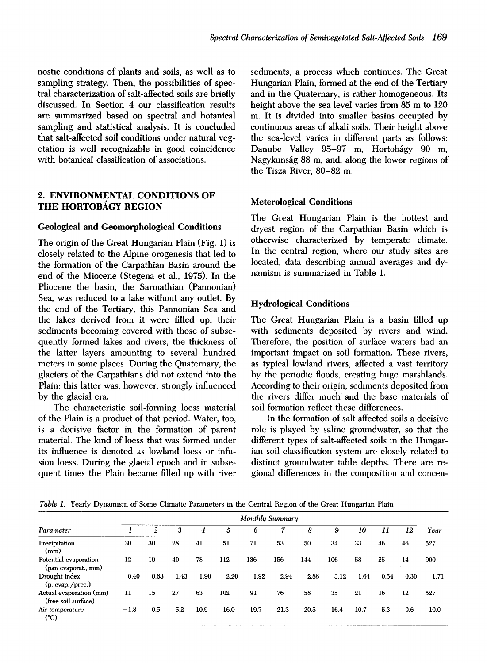nostic conditions of plants and soils, as well as to sampling strategy. Then, the possibilities of spectral characterization of salt-affected soils are briefly discussed. In Section 4 our classification results are summarized based on spectral and botanical sampling and statistical analysis. It is concluded that salt-affected soil conditions under natural vegetation is well recognizable in good coincidence with botanical classification of associations.

# **2. ENVIRONMENTAL CONDITIONS OF THE HORTOBÁGY REGION**

# **Geological and Geomorphological Conditions**

The origin of the Great Hungarian Plain (Fig. 1) is closely related to the Alpine orogenesis that led to the formation of the Carpathian Basin around the end of the Miocene (Stegena et al., 1975). In the Pliocene the basin, the Sarmathian (Pannonian) Sea, was reduced to a lake without any outlet. By the end of the Tertiary, this Pannonian Sea and the lakes derived from it were filled up, their sediments becoming covered with those of subsequently formed lakes and rivers, the thickness of the latter layers amounting to several hundred meters in some places. During the Quaternary, the glaciers of the Carpathians did not extend into the Plain; this latter was, however, strongly influenced by the glacial era.

The characteristic soil-forming loess material of the Plain is a product of that period. Water, too, is a decisive factor in the formation of parent material. The kind of loess that was formed under its influence is denoted as lowland loess or infusion loess. During the glacial epoch and in subsequent times the Plain became filled up with river sediments, a process which continues. The Great Hungarian Plain, formed at the end of the Tertiary and in the Quaternary, is rather homogeneous. Its height above the sea level varies from 85 m to 120 m. It is divided into smaller basins occupied by continuous areas of alkali soils. Their height above the sea-level varies in different parts as follows: Danube Valley 95-97 m, Hortobágy 90 m, Nagykunság 88 m, and, along the lower regions of the Tisza River, 80-82 m.

## **Meterological Conditions**

The Great Hungarian Plain is the hottest and dryest region of the Carpathian Basin which is otherwise characterized by temperate climate. In the central region, where our study sites are located, data describing annual averages and dynamism is summarized in Table 1.

# **Hydrological Conditions**

The Great Hungarian Plain is a basin filled up with sediments deposited by rivers and wind. Therefore, the position of surface waters had an important impact on soil formation. These rivers, as typical lowland rivers, affected a vast territory by the periodic floods, creating huge marshlands. According to their origin, sediments deposited from the rivers differ much and the base materials of soil formation reflect these differences.

In the formation of salt affected soils a decisive role is played by saline groundwater, so that the different types of salt-affected soils in the Hungarian soil classification system are closely related to distinct groundwater table depths. There are regional differences in the composition and concen-

*Table I.* Yearly Dynamism of Some Climatic Parameters in the Central Region of the Great Hungarian Plain

|                                                |        |              | Monthly Summary |      |      |      |      |      |      |      |      |      |      |
|------------------------------------------------|--------|--------------|-----------------|------|------|------|------|------|------|------|------|------|------|
| Parameter                                      |        | $\mathbf{2}$ | 3               | 4    | 5    | 6    | 7    | 8    | 9    | 10   | 11   | 12   | Year |
| Precipitation<br>(mm)                          | 30     | 30           | 28              | 41   | 51   | 71   | 53   | 50   | 34   | 33   | 46   | 46   | 527  |
| Potential evaporation<br>(pan evaporat., mm)   | 12     | 19           | 40              | 78   | 112  | 136  | 156  | 144  | 106  | 58   | 25   | 14   | 900  |
| Drought index<br>(p. evap./prec.)              | 0.40   | 0.63         | 1.43            | 1.90 | 2.20 | 1.92 | 2.94 | 2.88 | 3.12 | 1.64 | 0.54 | 0.30 | 1.71 |
| Actual evaporation (mm)<br>(free soil surface) | 11     | 15           | 27              | 63   | 102  | 91   | 76   | 58   | 35   | 21   | 16   | 12   | 527  |
| Air temperature<br>(°C)                        | $-1.8$ | $0.5\,$      | 5.2             | 10.9 | 16.0 | 19.7 | 21.3 | 20.5 | 16.4 | 10.7 | 5.3  | 0.6  | 10.0 |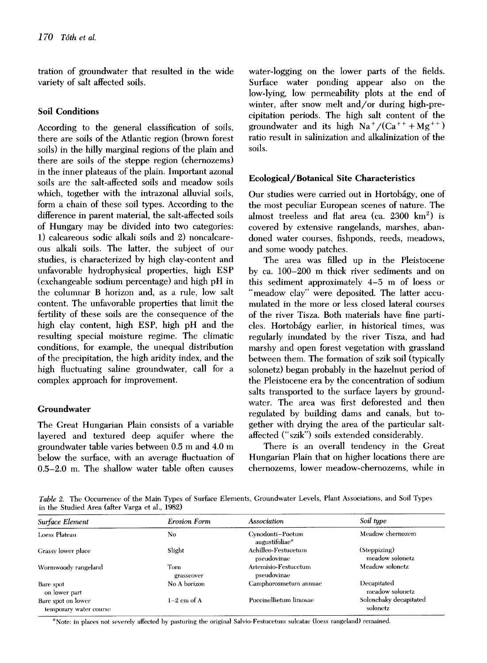tration of groundwater that resulted in the wide variety of salt affected soils.

# **Soil Conditions**

According to the general classification of soils, there are soils of the Atlantic region (brown forest soils) in the hilly marginal regions of the plain and there are soils of the steppe region (cheruozems) in the inner plateaus of the plain. Important azonal soils are the salt-affected soils and meadow soils which, together with the intrazonal alluvial soils, form a chain of these soil types. According to the difference in parent material, the salt-affected soils of Hungary may be divided into two categories: 1) calcareous sodic alkali soils and 2) noncalcareous alkali soils. The latter, the subject of our studies, is characterized by high clay-content and unfavorable hydrophysical properties, high ESP (exchangeable sodium percentage) and high pH in the columnar B horizon and, as a rule, low salt content. The unfavorable properties that limit the fertility of these soils are the consequence of the high clay content, high ESP, high pH and the resulting special moisture regime. The climatic conditions, for example, the unequal distribution of the precipitation, the high aridity index, and the high fluctuating saline groundwater, call for a complex approach for improvement.

# **Groundwater**

The Great Hungarian Plain consists of a variable layered and textured deep aquifer where the groundwater table varies between 0.5 m and 4.0 m below the surface, with an average fluctuation of 0.5-2.0 m. The shallow water table often causes water-logging on the lower parts of the fields. Surface water ponding appear also on the low-lying, low permeability plots at the end of winter, after snow melt and/or during high-precipitation periods. The high salt content of the groundwater and its high  $Na^+/(Ca^{++}+Mg^{++})$ ratio result in salinization and alkalinization of the soils.

# **Ecological/Botanical Site Characteristics**

Our studies were carried out in Hortobágy, one of the most peculiar European scenes of nature. The almost treeless and flat area (ca.  $2300 \text{ km}^2$ ) is covered by extensive rangelands, marshes, abandoned water courses, fishponds, reeds, meadows, and some woody patches.

The area was filled up in the Pleistocene by ca. 100-200 m thick river sediments and on this sediment approximately 4-5 m of loess or "meadow clay" were deposited. The latter accumulated in the more or less closed lateral courses of the river Tisza. Both materials have fine particles. Hortobágy earlier, in historical times, was regularly inundated by the river Tisza, and had marshy and open forest vegetation with grassland between them. The formation of szik soil (typically solonetz) began probably in the hazelnut period of the Pleistocene era by the concentration of sodium salts transported to the surface layers by groundwater. The area was first deforested and then regulated by building dams and canals, but together with drying the area of the particular saltaffected ("szik") soils extended considerably.

There is an overall tendency in the Great Hungarian Plain that on higher locations there are chernozems, lower meadow-chernozems, while in

Table 2. The Occurrence of the Main Types of Surface Elements, Groundwater Levels, Plant Associations, and Soil Types in the Studied Area (after Varga et al., 1982)

| Surface Element                              | Erosion Form       | Association                                    | Soil type                          |
|----------------------------------------------|--------------------|------------------------------------------------|------------------------------------|
| Loess Plateau                                | No                 | Cynodonti-Poetum<br>augustifoliae <sup>a</sup> | Meadow chernozem                   |
| Grassy lower place                           | Slight             | Achilleo-Festucetum<br>pseudovinae             | (Steppizing)<br>meadow solonetz    |
| Wormwoody rangeland                          | Torn<br>grasscover | Artemisio-Festucetum<br>pseudovinae            | Meadow solonetz                    |
| Bare spot<br>on lower part                   | No A horizon       | Camphorosmetum annuae                          | Decapitated<br>meadow solonetz     |
| Bare spot on lower<br>temporary water course | $1-2$ cm of A      | Puccinellietum limosae                         | Solonchaky decapitated<br>solonetz |

"Note: in places not severely affected by pasturing the original Salvio-Festucetum sulcatae (loess rangeland) remained.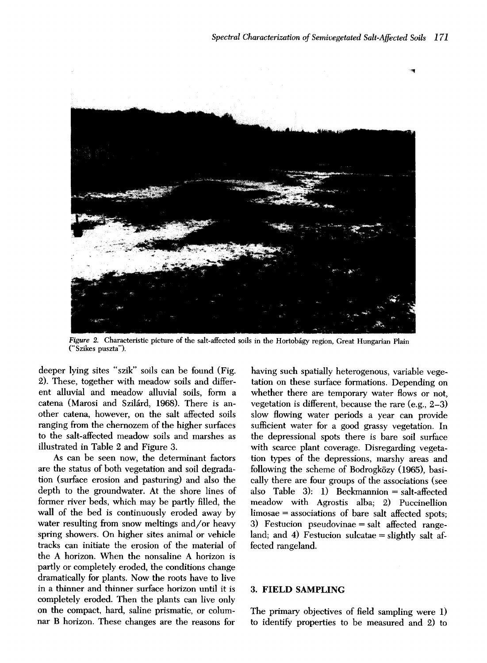

Figure 2. Characteristic picture of the salt-affected soils in the Hortobágy region, Great Hungarian Plain ("Szikes puszta").

deeper lying sites "szik" soils can be found (Fig. 2). These, together with meadow soils and different alluvial and meadow alluvial soils, form a catena (Marosi and Szilárd, 1968). There is another catena, however, on the salt affected soils ranging from the chernozem of the higher surfaces to the salt-affected meadow soils and marshes as illustrated in Table 2 and Figure 3.

As can be seen now, the determinant factors are the status of both vegetation and soil degradation (surface erosion and pasturing) and also the depth to the groundwater. At the shore lines of former river beds, which may be partly filled, the wall of the bed is continuously eroded away by water resulting from snow meltings and/or heavy spring showers. On higher sites animal or vehicle tracks can initiate the erosion of the material of the A horizon. When the nonsaline A horizon is partly or completely eroded, the conditions change dramatically for plants. Now the roots have to live in a thinner and thinner surface horizon until it is completely eroded. Then the plants can live only on the compact, hard, saline prismatic, or columnar B horizon. These changes are the reasons for

having such spatially heterogenous, variable vegetation on these surface formations. Depending on whether there are temporary water flows or not, vegetation is different, because the rare (e.g., 2-3) slow flowing water periods a year can provide sufficient water for a good grassy vegetation. In the depressional spots there is bare soil surface with scarce plant coverage. Disregarding vegetation types of the depressions, marshy areas and following the scheme of Bodrogközy (1965), basically there are four groups of the associations (see also Table 3): 1) Beckmannion = salt-affected meadow with Agrostis alba; 2) Puccinellion limosae = associations of bare salt affected spots; 3) Festucion pseudovinae = salt affected rangeland; and 4) Festucion sulcatae  $=$  slightly salt affected rangeland.

#### **3. FIELD SAMPLING**

The primary objectives of field sampling were 1) to identify properties to be measured and 2) to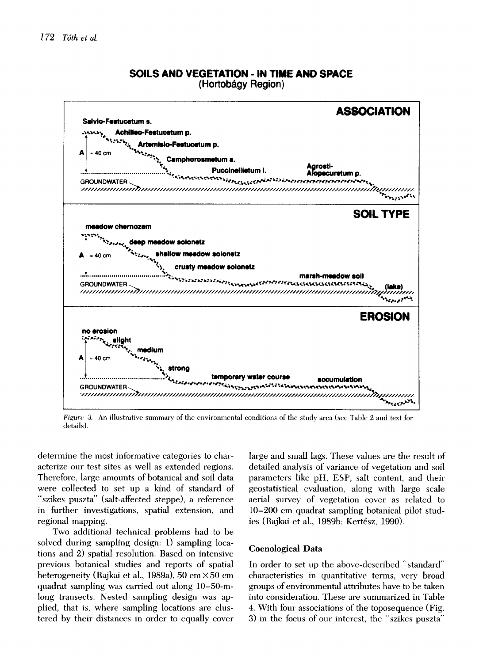

**SOILS AND VEGETATION - IN TIME AND SPACE (Hortobágy Region)** 

*Figure 3.* An illustrative summary of the environmental conditions of the study area (see Table 2 and text for details).

determine the most informative categories to characterize our test sites as well as extended regions. Therefore, large amounts of botanical and soil data were collected to set up a kind of standard of "szikes puszta" (salt-affected steppe), a reference in further investigations, spatial extension, and regional mapping.

Two additional technical problems had to be solved during sampling design: 1) sampling locations and 2) spatial resolution. Based on intensive previous botanical studies and reports of spatial heterogeneity (Rajkai et al., 1989a), 50 cm × 50 cm quadrat sampling was carried out along 10-50-mlong transects. Nested sampling design was applied, that is, where sampling locations are clustered by their distances in order to equally cover large and small lags. These values are the result of detailed analysis of variance of vegetation and soil parameters like pH, ESP, salt content, and their geostatistical evaluation, along with large scale aerial survey of vegetation cover as related to 10-200 cm quadrat sampling botanical pilot studies (Rajkai et al., 1989b; Kertész, 1990).

#### **Coenological Data**

In order to set up the above-described "standard" characteristics in quantitative terms, very broad groups of environmental attributes have to be taken into consideration. These are summarized in Table 4. With four associations of the toposequence (Fig. 3) in the focus of our interest, the "szikes puszta"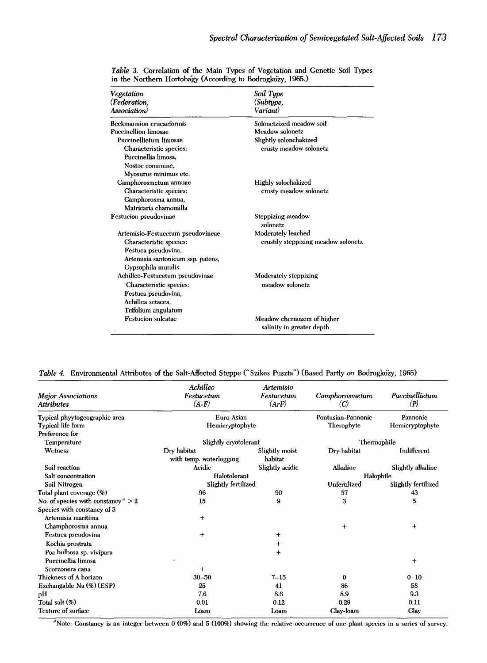| Vegetation<br>(Federation,        | Soil Type<br>(Subtype,                                  |
|-----------------------------------|---------------------------------------------------------|
| Association)                      | Variant)                                                |
| Beckmannion erucaeformis          | Solonetzized meadow soil                                |
| <b>Puccinellion limosae</b>       | Meadow solonetz                                         |
| Puccinellietum limosae            | Slightly solonchakized                                  |
| Characteristic species:           | crusty meadow solonetz                                  |
| Puccinellia limosa.               |                                                         |
| Nostoc commune.                   |                                                         |
| Myosurus minimus etc.             |                                                         |
| Camphorosmetum annuae             | Highly solochakized                                     |
| Characteristic species:           | crusty meadow solonetz                                  |
| Camphorosma annua,                |                                                         |
| Matricaria chamomilla             |                                                         |
| Festucion pseudovinae             | Steppizing meadow<br>solonetz                           |
| Artemisio-Festucetum pseudovineae | Moderately leached                                      |
| Characteristic species:           | crustily steppizing meadow solonetz                     |
| Festuca pseudovina,               |                                                         |
| Artemisia santonicum ssp. patens, |                                                         |
| Gypsophila muralis                |                                                         |
| Achilleo-Festucetum pseudovinae   | Moderately steppizing                                   |
| Characteristic species:           | meadow solonetz                                         |
| Festuca pseudovina,               |                                                         |
| Achillea setacea.                 |                                                         |
| Trifolium angulatum               |                                                         |
| <b>Festucion sulcatae</b>         | Meadow chernozem of higher<br>salinity in greater depth |

*Table 3.* Correlation of the Main Types of Vegetation and Genetic Soil Types in the Northern Hortoba'gy (According to Bodrogközy, 1965.)

*Table 4.* Environmental Attributes of the Salt-Affected Steppe ("Szikes Puszta") (Based Partly on Bodrogközy, 1965)

| <b>Major Associations</b><br>Attributes     | Achilleo<br>Festucetum<br>$(A-F)$ | Artemisio<br>Festucetum<br>(ArF) | Camphorosmetum<br>$\left( \mathbf{C}\right)$ | Puccinellietum<br>(P) |  |  |  |  |
|---------------------------------------------|-----------------------------------|----------------------------------|----------------------------------------------|-----------------------|--|--|--|--|
|                                             |                                   |                                  |                                              |                       |  |  |  |  |
| Typical phyytogeographic area               | Euro-Asian                        |                                  | Pontusian-Pannonic                           | Pannonic              |  |  |  |  |
| Typical life form                           | Hemicryptophyte                   |                                  | Therophyte                                   | Hemicryptophyte       |  |  |  |  |
| Preference for                              |                                   |                                  |                                              |                       |  |  |  |  |
| Temperature                                 | Slightly cryotolerant             |                                  | Thermophile                                  |                       |  |  |  |  |
| Wetness                                     | Dry habitat                       | Slightly moist                   | Dry habitat                                  | Indifferent           |  |  |  |  |
|                                             | with temp. waterlogging           | habitat                          |                                              |                       |  |  |  |  |
| Soil reaction                               | Acidic                            | Slightly acidic                  | Alkaline                                     | Slightly alkaline     |  |  |  |  |
| Salt concentration                          | Halotolerant                      |                                  |                                              | Halophile             |  |  |  |  |
| Soil Nitrogen                               | Slightly fertilized               |                                  | Unfertilized                                 | Slightly fertilized   |  |  |  |  |
| Total plant coverage (%)                    | 96                                | 90                               | 57                                           | 43                    |  |  |  |  |
| No. of species with constancy $\degree$ > 2 | 15                                | 9                                | 3                                            | 5                     |  |  |  |  |
| Species with constancy of 5                 |                                   |                                  |                                              |                       |  |  |  |  |
| Artemisia maritima                          | $\ddot{}$                         |                                  |                                              |                       |  |  |  |  |
| Champhorosma annua                          |                                   |                                  | $\ddot{}$                                    | $\,{}^+$              |  |  |  |  |
| Festuca pseudovina                          | $^{+}$                            | $\boldsymbol{+}$                 |                                              |                       |  |  |  |  |
| Kochia prostrata                            |                                   | $\ddot{}$                        |                                              |                       |  |  |  |  |
| Poa bulbosa sp. vivipara                    |                                   | $\,^+$                           |                                              |                       |  |  |  |  |
| Puccinellia limosa                          |                                   |                                  |                                              | $\ddot{}$             |  |  |  |  |
| Scorzonera cana                             | $\,{}^+$                          |                                  |                                              |                       |  |  |  |  |
| Thickness of A horizon                      | $30 - 50$                         | $7 - 15$                         | 0                                            | $0 - 10$              |  |  |  |  |
| Exchangable Na (%) (ESP)                    | 25                                | 41                               | 86                                           | 58                    |  |  |  |  |
| pН                                          | 7.6                               | 8.6                              | 8.9                                          | 9.3                   |  |  |  |  |
| Total salt $(\%)$                           | 0.01                              | 0.12                             | 0.29                                         | 0.11                  |  |  |  |  |
| Texture of surface                          | Loam                              | Loam                             | Clay-loam                                    | Clay                  |  |  |  |  |

<sup>a</sup>Note: Constancy is an integer between  $0$  (0%) and  $5$  (100%) showing the relative occurrence of one plant species in a series of survey.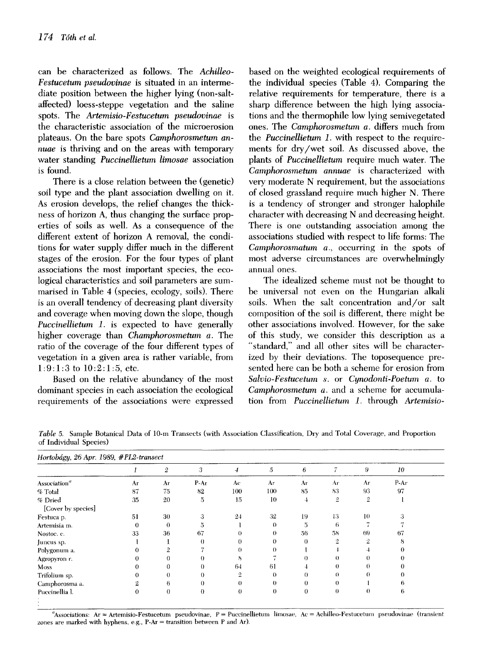can be characterized as follows. The *Achilleo-Festucetum pseudovinae* is situated in an intermediate position between the higher lying (non-saltaffected) loess-steppe vegetation and the saline spots. The *Artemisio-Festucetum pseudovinae* is the characteristic association of the microerosion plateaus. On the bare spots *Camphorosmetum annuae* is thriving and on the areas with temporary water standing *Puccinellietum limosae* association is found.

There is a close relation between the (genetic) soil type and the plant association dwelling on it. As erosion develops, the relief changes the thickness of horizon A, thus changing the surface properties of soils as well. As a consequence of the different extent of horizon A removal, the conditions for water supply differ much in the different stages of the erosion. For the four types of plant associations the most important species, the ecological characteristics and soil parameters are summarised in Table 4 (species, ecology, soils). There is an overall tendency of decreasing plant diversity and coverage when moving down the slope, though *Puccinellietum 1.* is expected to have generally higher coverage than *Champhorosmetum a.* The ratio of the coverage of the four different types of vegetation in a given area is rather variable, from 1:9:1:3 to 10:2:1:5, etc.

Based on the relative abundancy of the most dominant species in each association the ecological requirements of the associations were expressed based on the weighted ecological requirements of the individual species (Table 4). Comparing the relative requirements for temperature, there is a sharp difference between the high lying associations and the thermophile low lying semivegetated ones. The *Camphorosmetum a.* differs much from the *Puccinellietum 1.* with respect to the requirements for dry/wet soil. As discussed above, the plants of *PuccineUietum* require much water. The *Camphorosmetum annuae* is characterized with very moderate N requirement, but the associations of closed grassland require much higher N. There is a tendency of stronger and stronger halophile character with decreasing N and decreasing height. There is one outstanding association among the associations studied with respect to life forms: The *Camphorosmatum a.,* occurring in the spots of most adverse circumstances are overwhelmingly annual ones.

The idealized scheme must not be thought to be universal not even on the Hungarian alkali soils. When the salt concentration and/or salt composition of the soil is different, there might be other associations involved. However, for the sake of this study, we consider this description as a "standard," and all other sites will be characterized by their deviations. The toposequence presented here can be both a scheme for erosion from *Salvio-Festucetum s.* or *Cynodonti-Poetum a.* to *Camphorosmetum a.* and a scheme for accumulation from *PuccineUietum 1.* through *Artemisio-*

*Table 5.* Sample Botanical Data of 10-m Transects (with Association Classification, Dry and Total Coverage, and Proportion of Individual Species)

| Hortobágy, 26 Apr. 1989, #PL2-transect |          |          |          |                |          |          |                |                |      |  |
|----------------------------------------|----------|----------|----------|----------------|----------|----------|----------------|----------------|------|--|
|                                        |          | 2        | 3        | $\overline{4}$ | 5        | 6        | 7.             | 9              | 10   |  |
| Association <sup>a</sup>               | Ar       | Ar       | $P-Ar$   | Aс             | Ar       | Ar       | Ar             | Ar             | P-Ar |  |
| % Total                                | 87       | 75       | 82       | 100            | 100      | 85       | 83             | 93             | 97   |  |
| % Dried                                | 35       | 20       | 5        | 15             | 10       | 4        | $\overline{2}$ | $\overline{2}$ |      |  |
| [Cover by species]                     |          |          |          |                |          |          |                |                |      |  |
| Festuca p.                             | 51       | 30       | 3        | 24             | 32       | 19       | 13             | 10             | :3   |  |
| Artemisia m.                           | $\bf{0}$ | $\theta$ | Ð        |                | 0        | 5        | 6              |                |      |  |
| Nostoc. c.                             | 33       | 36       | 67       | 0              | 0        | 56       | 58             | 69             | 67   |  |
| Juneus sp.                             |          |          | $\theta$ | $\theta$       | 0        | $\theta$ | ാ              | Q.             | 8    |  |
| Polygonum a.                           | 0        | 2        |          | $\theta$       | $\Omega$ |          |                |                |      |  |
| Agropyron r.                           |          | 0        | $\theta$ | 8              |          | $\theta$ | 0              |                |      |  |
| Moss                                   | 0        | 0        | $\theta$ | 64             | 61       | 4        | $_{0}$         |                |      |  |
| Trifolium sp.                          | 0        | 0        | $\theta$ | $\overline{2}$ | $\Omega$ | $\Omega$ | $\Omega$       | 0              | 0    |  |
| Camphorosma a.                         |          | 6        | $\theta$ | $\theta$       | $\theta$ | $\theta$ | $\theta$       |                | t.   |  |
| Puccinellia l.                         | 0        | $\theta$ | $\bf{0}$ | $\theta$       | $\theta$ | $\theta$ | $\theta$       | $\Omega$       | 6    |  |

<sup>a</sup>Associations: Ar = Artemisio-Festucetum pseudovinae, P = Puccinellietum limosae, Ac = Achilleo-Festucetum pseudovinae (transient zones are marked with hyphens, e.g., P-Ar = transition between P and Ar).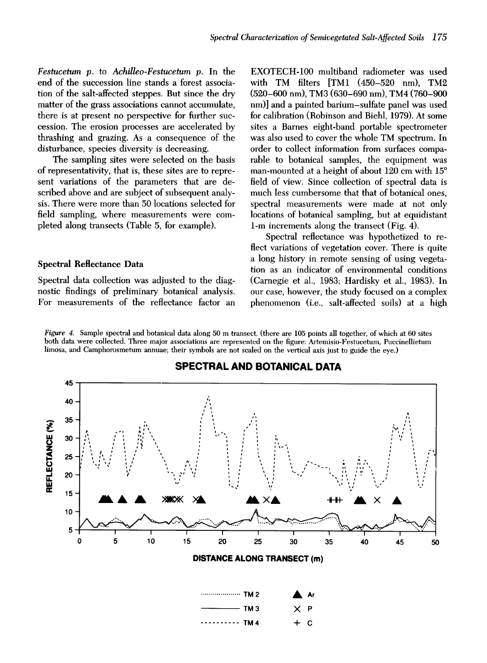*Festucetum p.* to *AchiUeo-Festucetum p.* In the end of the succession line stands a forest association of the salt-affected steppes. But since the dry matter of the grass associations cannot accumulate, there is at present no perspective for further succession. The erosion processes are accelerated by thrashing and grazing. As a consequence of the disturbance, species diversity is decreasing.

The sampling sites were selected on the basis of representativity, that is, these sites are to represent variations of the parameters that are described above and are subject of subsequent analysis. There were more than 50 locations selected for field sampling, where measurements were completed along transects (Table 5, for example).

#### **Spectral Reflectance Data**

Spectral data collection was adjusted to the diagnostic findings of preliminary botanical analysis. For measurements of the reflectance factor an EXOTECH-100 multiband radiometer was used with TM filters [TM1 (450-520 nm), TM2 (520-600 nm), TM3 (630-690 nm), TM4 (760-900 nm)] and a painted barium-sulfate panel was used for calibration (Robinson and Biehl, 1979). At some sites a Barnes eight-band portable spectrometer was also used to cover the whole TM spectrum. In order to collect information from surfaces comparable to botanical samples, the equipment was man-mounted at a height of about  $120$  cm with  $15^{\circ}$ field of view. Since collection of spectral data is much less cumbersome that that of botanical ones, spectral measurements were made at not only locations of botanical sampling, but at equidistant 1-m increments along the transect (Fig. 4).

Spectral reflectance was hypothetized to reflect variations of vegetation cover. There is quite a long history in remote sensing of using vegetation as an indicator of environmental conditions (Carnegie et al., 1983; Hardisky et al., 1983). In our case, however, the study focused on a complex phenomenon (i.e., salt-affected soils) at a high

*Figure 4.* Sample spectral and botanical data along 50 m transect. (there are 105 points all together, of which at 60 sites both data were collected. Three major associations are represented on the figure: Artemisio-Festucetum, Puccinellietum limosa, and Camphorosmetum annuae; their symbols are not scaled on the vertical axis just to guide the eye.)



## **SPECTRAL AND BOTANICAL DATA**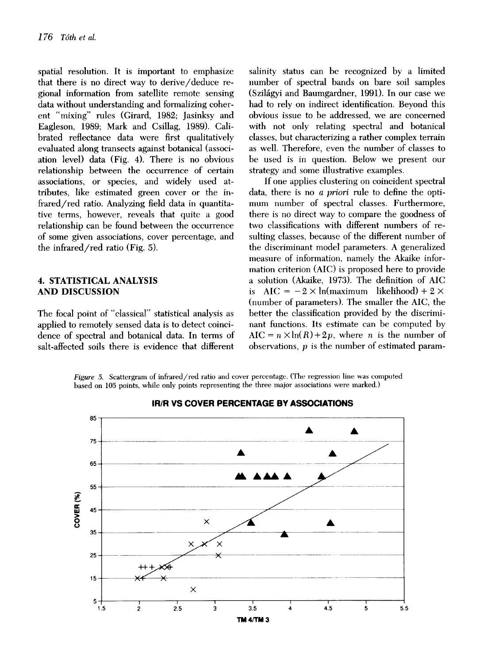spatial resolution. It is important to emphasize that there is no direct way to derive/deduce regional information from satellite remote sensing data without understanding and formalizing coherent "mixing" rules (Girard, 1982; Jasinksy and Eagleson, 1989; Mark and Csillag, 1989). Calibrated reflectance data were first qualitatively evaluated along transects against botanical (association level) data (Fig. 4). There is no obvious relationship between the occurrence of certain associations, or species, and widely used attributes, like estimated green cover or the infrared/red ratio. Analyzing field data in quantitative terms, however, reveals that quite a good relationship can be found between the occurrence of some given associations, cover percentage, and the infrared/red ratio (Fig. 5).

#### 4. STATISTICAL ANALYSIS **AND DISCUSSION**

The focal point of "classical" statistical analysis as applied to remotely sensed data is to detect coincidence of spectral and botanical data. In terms of salt-affected soils there is evidence that different

salinity status can be recognized by a limited number of spectral bands on bare soil samples (Szilágyi and Baumgardner, 1991). In our case we had to rely on indirect identification. Beyond this obvious issue to be addressed, we are concerned with not only relating spectral and botanical classes, but characterizing a rather complex terrain as well. Therefore, even the number of classes to be used is in question. Below we present our strategy and some illustrative examples.

If one applies clustering on coincident spectral data, there is no *a priori* rule to define the optimum number of spectral classes. Furthermore, there is no direct way to compare the goodness of two classifications with different numbers of resulting classes, because of the different number of the discriminant model parameters. A generalized measure of information, namely the Akaike information criterion (AIC) is proposed here to provide a solution (Akaike, 1973). The definition of AIC is  $AIC = -2 \times ln(maximum$  likelihood) + 2  $\times$ (number of parameters). The smaller the AIC, the better the classification provided by the discriminant functions. Its estimate can be computed by  $AIC = n \times ln(R) + 2p$ , where *n* is the number of observations,  $p$  is the number of estimated param-

*Figure 5.* Scattergram of infrared/red ratio and cover percentage. (The regression line was computed based on 105 points, while only points representing the three major associations were marked.)



**IR/R VS COVER PERCENTAGE BY ASSOCIATIONS**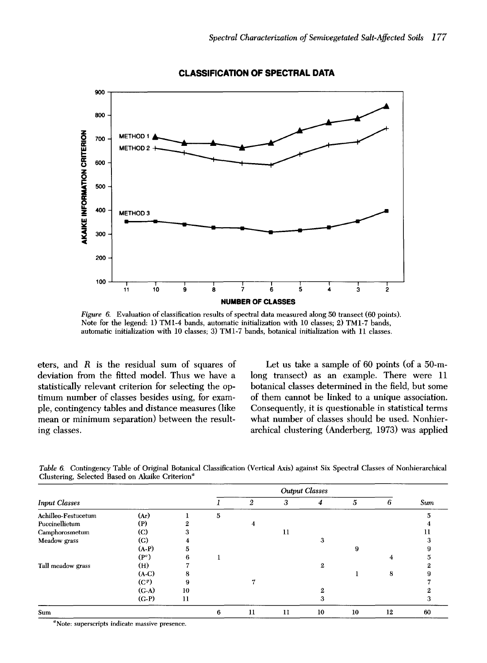

**CLASSIFICATION OF SPECTRAL DATA** 

*Figure 6.*  Evaluation of classification results of spectral data measured along 50 transect (60 points). Note for the legend: 1) TM1-4 bands, automatic initialization with 10 classes; 2) TM1-7 bands, automatic initialization with 10 classes; 3) TM1-7 bands, botanical initialization with 11 classes.

eters, and R is the residual sum of squares of deviation from the fitted model. Thus we have a statistically relevant criterion for selecting the optimum number of classes besides using, for example, contingency tables and distance measures (like mean or minimum separation) between the resulting classes.

Let us take a sample of 60 points (of a 50-mlong transect) as an example. There were 11 botanical classes determined in the field, but some of them cannot be linked to a unique association. Consequently, it is questionable in statistical terms what number of classes should be used. Nonhierarchical clustering (Anderberg, 1973) was applied

|                      |                   |         |   | <b>Output Classes</b> |    |              |    |    |     |  |  |
|----------------------|-------------------|---------|---|-----------------------|----|--------------|----|----|-----|--|--|
| <b>Input Classes</b> |                   |         |   | 2                     | 3  | 4            | 5  | 6  | Sum |  |  |
| Achilleo-Festucetum  | (Ar)              |         | 5 |                       |    |              |    |    |     |  |  |
| Puccinellietum       | (P)               |         |   |                       |    |              |    |    |     |  |  |
| Camphorosmetum       | $\rm (C)$         |         |   |                       | 11 |              |    |    |     |  |  |
| Meadow grass         | $\rm (G)$         |         |   |                       |    | 3            |    |    |     |  |  |
|                      | $(A-P)$           | 'n.     |   |                       |    |              | 9  |    |     |  |  |
|                      | $(P^c)$           | n       |   |                       |    |              |    | 4  |     |  |  |
| Tall meadow grass    | (H)               |         |   |                       |    | $\mathbf{2}$ |    |    |     |  |  |
|                      | $(A-C)$           | o       |   |                       |    |              |    | 8  |     |  |  |
|                      | (C <sup>p</sup> ) |         |   |                       |    |              |    |    |     |  |  |
|                      | $(C-A)$           | 10      |   |                       |    |              |    |    |     |  |  |
|                      | $(C-P)$           | $_{11}$ |   |                       |    | 3            |    |    |     |  |  |
| Sum                  |                   |         | 6 | 11                    | 11 | 10           | 10 | 12 | 60  |  |  |
| $\sim$               |                   |         |   |                       |    |              |    |    |     |  |  |

*Table 6.* Contingency Table of Original Botanical Classification (Vertical Axis) against Six Spectral Classes of Nonhierarchical Clustering, Selected Based on Akaike Criterion<sup>a</sup>

 $\alpha$ Note: superscripts indicate massive presence.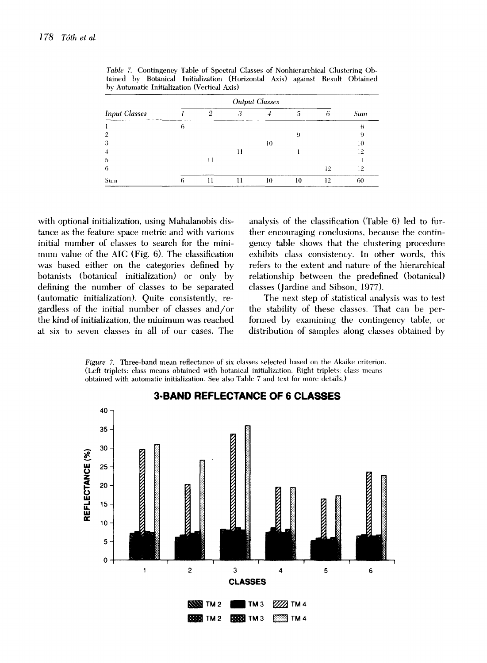| <b>Input Classes</b> |   | <b>Output Classes</b> |   |    |    |    |            |  |  |  |
|----------------------|---|-----------------------|---|----|----|----|------------|--|--|--|
|                      |   | റ                     | 3 |    |    | Ð  | <b>Sum</b> |  |  |  |
|                      | 6 |                       |   |    |    |    | 6          |  |  |  |
|                      |   |                       |   |    | 9  |    | 9          |  |  |  |
|                      |   |                       |   | 10 |    |    | 10         |  |  |  |
|                      |   |                       |   |    |    |    | 12         |  |  |  |
| 5                    |   | П                     |   |    |    |    |            |  |  |  |
| 6                    |   |                       |   |    |    | 12 | 12         |  |  |  |
| Sum                  | 6 |                       |   | 10 | 10 | 12 | 60         |  |  |  |

*Table* 7. Contingency Table of Spectral Classes of Nonhierarchical Clustering Obtained by Botanical Initialization (Horizontal Axis) against Result Obtained by Automatic Initialization (Vertical Axis)

with optional initialization, using Mahalanobis distance as the feature space metric and with various initial number of classes to search for the minimum value of the AIC (Fig. 6). The classification was based either on the categories defined by botanists (botanical initialization) or only by defining the number of classes to be separated (automatic initialization). Quite consistently, regardless of the initial number of classes and/or the kind of initialization, the minimum was reached at six to seven classes in all of our cases. The analysis of the classification (Table 6) led to further encouraging conclusions, because the contingency table shows that the clustering procedure exhibits class consistency. In other words, this refers to the extent and nature of the hierarchical relationship between the predefined (botanical) classes (Jardine and Sibson, 1977).

The next step of statistical analysis was to test the stability of these classes. That can be performed by examining the contingency table, or distribution of samples along classes obtained by

*Figure 7.* Three-band mean reflectance of six classes selected based on the Akaike criterion. (Left triplets: class means obtained with botanical initialization. Right triplets: class means obtained with automatic initialization. See also Table 7 and text for more details.)



# **3-BAND REFLECTANCE OF 6 CLASSES**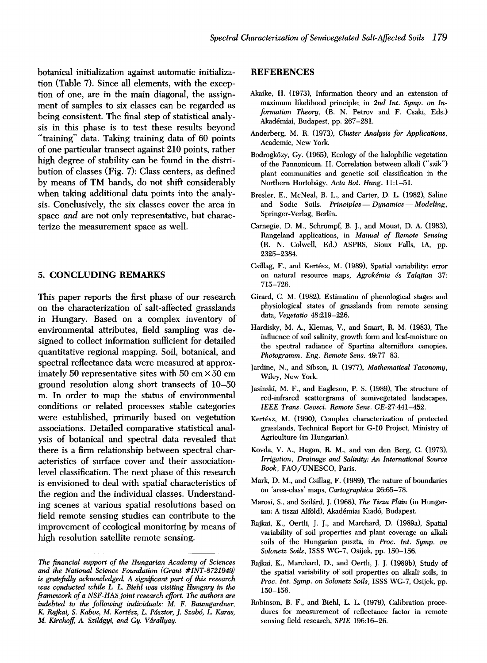botanical initialization against automatic initialization (Table 7). Since all elements, with the exception of one, are in the main diagonal, the assignment of samples to six classes can be regarded as being consistent. The final step of statistical analysis in this phase is to test these results beyond "training" data. Taking training data of 60 points of one particular transect against 210 points, rather high degree of stability can be found in the distribution of classes (Fig. 7): Class centers, as defined by means of TM bands, do not shift considerably when taking additional data points into the analysis. Conclusively, the six classes cover the area in space *and* are not only representative, but characterize the measurement space as well.

### **5. CONCLUDING REMARKS**

This paper reports the first phase of our research on the characterization of salt-affected grasslands in Hungary. Based on a complex inventory of environmental attributes, field sampling was designed to collect information sufficient for detailed quantitative regional mapping. Soil, botanical, and spectral reflectance data were measured at approximately 50 representative sites with 50 cm $\times$  50 cm ground resolution along short transects of 10-50 m. In order to map the status of environmental conditions or related processes stable categories were established, primarily based on vegetation associations. Detailed comparative statistical analysis of botanical and spectral data revealed that there is a firm relationship between spectral characteristics of surface cover and their associationlevel classification. The next phase of this research is envisioned to deal with spatial characteristics of the region and the individual classes. Understanding scenes at various spatial resolutions based on field remote sensing studies can contribute to the improvement of ecological monitoring by means of high resolution satellite remote sensing.

#### **REFERENCES**

- Akaike, H. (1973), Information theory and an extension of maximum likelihood principle; in *2nd Int. Symp. on Information Theory,* (B. N. Petrov and F. Csaki, Eds.) Akad6miai, Budapest, pp. 267-281.
- Anderberg, M. R. (1973), *Cluster Analysis for Applications,*  Academic, New York.
- Bodrogk6zy, Gy. (1965), Ecology of the halophilic vegetation of the Pannonicum. II. Correlation between alkali ("szik") plant communities and genetic soil classification in the Northern Hortob~igy, *Acta Bot. Hung.* 11:1-51.
- Bresler, E., McNeal, B. L., and Carter, D. L. (1982), Saline and Sodic Soils. *Principles* - Dynamics -- Modeling, Springer-Verlag, Berlin.
- Carnegie, D. M., Schrumpf, B. J., and Mouat, D. A. (1983), Rangeland applications, in *Manual of Remote Sensing*  (R. N. Colwell, Ed.) ASPRS, Sioux Falls, IA, pp. 2325-2384.
- Csillag, F., and Kert6sz, M. (1989), Spatial variability: error on natural resource maps, *Agrokdmia ds Talajtan* 37: 715-726.
- Girard, C. M. (1982), Estimation of phenological stages and physiological states of grasslands from remote sensing data, *Vegetatio* 48:219-226.
- Hardisky, M. A., Klemas, V., and Smart, R. M. (1983), The influence of soil salinity, growth form and leaf-moisture on the spectral radiance of Spartina alterniflora canopies, *Photogramm. Eng. Remote Sens.* 49:77-83.
- Jardine, N., and Sibson, R. (1977), *Mathematical Taxonomy,*  Wiley, New York.
- Jasinski, M. F., and Eagleson, P. S. (1989), The structure of red-infrared scattergrams of semivegetated landscapes, *IEEE Trans. Geosci. Remote Sens.* GE-27:441-452.
- Kertész, M. (1990), Complex characterization of protected grasslands, Technical Report for G-10 Project, Ministry of Agriculture (in Hungarian).
- Kovda, V. A., Hagan, R. M., and van den Berg, C. (1973), *Irrigation, Drainage and Salinity: An International Source Book,* FAO/UNESCO, Paris.
- Mark, D. M., and Csillag, F. (1989), The nature of boundaries on 'area-class' maps, *Cartographica* 26:65-78.
- Marosi, S., and Szilárd, J. (1968), *The Tisza Plain* (in Hungarian: A tiszai Alföld), Akadémiai Kiadó, Budapest.
- Rajkai, K., Oertli, J. J., and Marchard, D. (1989a), Spatial variability of soil properties and plant coverage on alkali soils of the Hungarian puszta, in *Proc. Int. Symp. on Solonetz Soils,* ISSS WG-7, Osijek, pp. 150-156.
- Rajkai, K., Marchard, D., and Oertli, J. J. (1989b), Study of the spatial variability of soil properties on alkali soils, in *Proc. Int. Symp. on Solonetz Soils,* ISSS WG-7, Osijek, pp. 150-156.
- Robinson, B. F., and Biehl, L. L. (1979), Calibration procedures for measurement of reflectance factor in remote sensing field research, *SPIE* 196:16-26.

*The financial support of the Hungarian Academy of Sciences and the National Science Foundation (Grant #INT-8721949) is gratefully acknowledged. A significant part of this research was conducted while L L Biehl was visiting Hungary in the framework of a NSF-HAS joint research effort. The authors are indebted to the following individuals: M. F. Baumgardner, K. Rajkai, S. Kabos, M. Kertdsz, L. Pdsztor, J. Szab6, L, Karas, M. Kirchoff, A. Szildgyi, and Gy. Vdrallyay.*